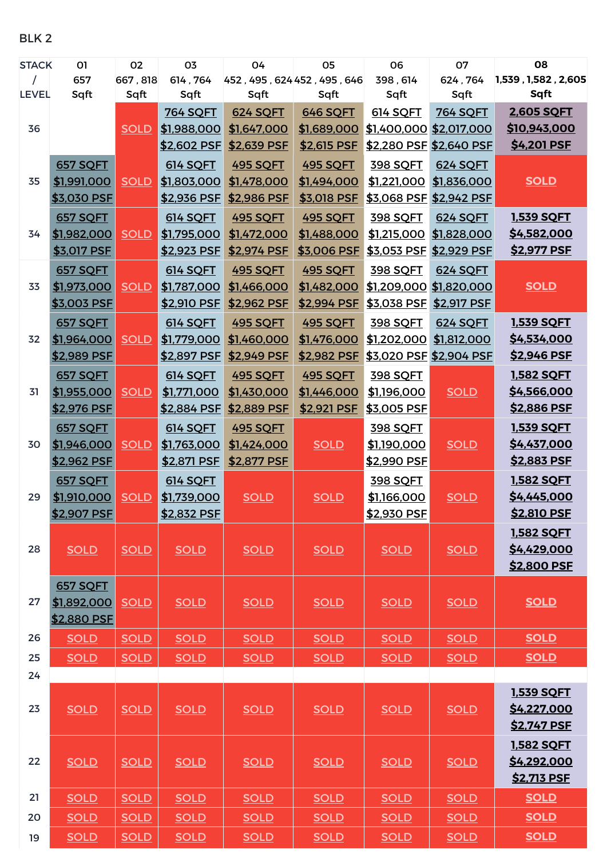BLK 2

| <b>STACK</b> | 01              | 02          | 03              | 04                          | 05              | 06                      | 07                      | 08                  |
|--------------|-----------------|-------------|-----------------|-----------------------------|-----------------|-------------------------|-------------------------|---------------------|
|              | 657             | 667,818     | 614,764         | 452, 495, 624 452, 495, 646 |                 | 398, 614                | 624,764                 | 1,539, 1,582, 2,605 |
| <b>LEVEL</b> | Sqft            | Sqft        | Sqft            | Sqft                        | Sqft            | Sqft                    | Sqft                    | Sqft                |
|              |                 |             | <b>764 SQFT</b> | <b>624 SQFT</b>             | 646 SQFT        | 614 SQFT                | <b>764 SQFT</b>         | 2,605 SQFT          |
| 36           |                 | <b>SOLD</b> | \$1,988,000     | \$1,647,000                 | \$1,689,000     | \$1,400,000 \$2,017,000 |                         | <u>\$10,943,000</u> |
|              |                 |             | \$2,602 PSF     | \$2,639 PSF                 | \$2,615 PSF     | \$2,280 PSF \$2,640 PSF |                         | \$4,201 PSF         |
|              | <b>657 SQFT</b> |             | <b>614 SQFT</b> | <b>495 SQFT</b>             | <b>495 SQFT</b> | <b>398 SQFT</b>         | <b>624 SOFT</b>         |                     |
| 35           | \$1,991,000     | <b>SOLD</b> | \$1,803,000     | \$1,478,000                 | \$1,494,000     |                         | \$1,221,000 \$1,836,000 | <b>SOLD</b>         |
|              | \$3,030 PSF     |             | \$2,936 PSF     | \$2,986 PSF                 | \$3,018 PSF     | \$3,068 PSF             | \$2,942 PSF             |                     |
|              | <b>657 SQFT</b> |             | <b>614 SQFT</b> | <b>495 SQFT</b>             | <b>495 SQFT</b> | 398 SQFT                | 624 SQFT                | <b>1,539 SQFT</b>   |
| 34           | \$1,982,000     | <b>SOLD</b> | \$1,795,000     | \$1,472,000                 | \$1,488,000     |                         | \$1,215,000 \$1,828,000 | \$4,582,000         |
|              | \$3,017 PSF     |             | \$2,923 PSF     | \$2,974 PSF                 | \$3,006 PSF     | \$3,053 PSF \$2,929 PSF |                         | <u>\$2,977 PSF</u>  |
|              | <b>657 SQFT</b> |             | <b>614 SQFT</b> | <b>495 SQFT</b>             | <b>495 SQFT</b> | 398 SQFT                | 624 SQFT                |                     |
| 33           | \$1,973,000     | <b>SOLD</b> | \$1,787,000     | \$1,466,000                 | \$1,482,000     | \$1,209,000 \$1,820,000 |                         | <b>SOLD</b>         |
|              | \$3,003 PSF     |             | \$2,910 PSF     | \$2,962 PSF                 | \$2,994 PSF     | \$3,038 PSF             | \$2,917 PSF             |                     |
|              | 657 SQFT        |             | 614 SQFT        | <b>495 SQFT</b>             | <b>495 SQFT</b> | 398 SQFT                | 624 SQFT                | <b>1,539 SQFT</b>   |
| 32           | \$1,964,000     | <b>SOLD</b> | \$1,779,000     | \$1,460,000                 | \$1,476,000     | \$1,202,000             | \$1,812,000             | \$4,534,000         |
|              | \$2,989 PSF     |             | \$2,897 PSF     | \$2,949 PSF                 | \$2,982 PSF     | \$3,020 PSF \$2,904 PSF |                         | <u>\$2,946 PSF</u>  |
|              | <b>657 SQFT</b> |             | <b>614 SQFT</b> | <b>495 SQFT</b>             | <b>495 SQFT</b> | 398 SQFT                |                         | <b>1,582 SQFT</b>   |
| 31           | \$1,955,000     | <b>SOLD</b> | \$1,771,000     | \$1,430,000                 | \$1,446,000     | \$1,196,000             | <b>SOLD</b>             | \$4,566,000         |
|              | \$2,976 PSF     |             | \$2,884 PSF     | \$2,889 PSF                 | \$2,921 PSF     | \$3,005 PSF             |                         | \$2,886 PSF         |
|              |                 |             |                 |                             |                 |                         |                         |                     |
|              | <b>657 SQFT</b> |             | 614 SQFT        | <b>495 SQFT</b>             |                 | 398 SQFT                |                         | <b>1,539 SQFT</b>   |
| 30           | \$1,946,000     | <b>SOLD</b> | \$1,763,000     | \$1,424,000                 | <b>SOLD</b>     | \$1,190,000             | <b>SOLD</b>             | \$4,437,000         |
|              | \$2,962 PSF     |             | \$2,871 PSF     | \$2,877 PSF                 |                 | \$2,990 PSF             |                         | <u>\$2,883 PSF</u>  |
|              | <b>657 SQFT</b> |             | 614 SQFT        |                             |                 | 398 SQFT                |                         | <b>1,582 SQFT</b>   |
| 29           | \$1,910,000     | <b>SOLD</b> | \$1,739,000     | <b>SOLD</b>                 | <b>SOLD</b>     | \$1,166,000             | <b>SOLD</b>             | \$4,445,000         |
|              | \$2,907 PSF     |             | \$2,832 PSF     |                             |                 | \$2,930 PSF             |                         | \$2,810 PSF         |
|              |                 |             |                 |                             |                 |                         |                         | <b>1,582 SQFT</b>   |
| 28           | <b>SOLD</b>     | <b>SOLD</b> | <b>SOLD</b>     | <b>SOLD</b>                 | <b>SOLD</b>     | <b>SOLD</b>             | <b>SOLD</b>             | \$4,429,000         |
|              |                 |             |                 |                             |                 |                         |                         | \$2,800 PSF         |
|              | 657 SQFT        |             |                 |                             |                 |                         |                         |                     |
| 27           | \$1,892,000     | <b>SOLD</b> | <b>SOLD</b>     | <b>SOLD</b>                 | <b>SOLD</b>     | <b>SOLD</b>             | <b>SOLD</b>             | <b>SOLD</b>         |
|              | \$2,880 PSF     |             |                 |                             |                 |                         |                         |                     |
| 26           | <b>SOLD</b>     | <b>SOLD</b> | <b>SOLD</b>     | <b>SOLD</b>                 | <b>SOLD</b>     | <b>SOLD</b>             | <b>SOLD</b>             | <b>SOLD</b>         |
| 25           | <b>SOLD</b>     | <b>SOLD</b> | <b>SOLD</b>     | <b>SOLD</b>                 | <b>SOLD</b>     | <b>SOLD</b>             | <b>SOLD</b>             | <b>SOLD</b>         |
| 24           |                 |             |                 |                             |                 |                         |                         |                     |
|              |                 |             |                 |                             |                 |                         |                         | <b>1,539 SQFT</b>   |
| 23           | <b>SOLD</b>     | <b>SOLD</b> | <b>SOLD</b>     | <b>SOLD</b>                 | <b>SOLD</b>     | <b>SOLD</b>             | <b>SOLD</b>             | \$4,227,000         |
|              |                 |             |                 |                             |                 |                         |                         | <b>\$2,747 PSF</b>  |
|              |                 |             |                 |                             |                 |                         |                         | <b>1,582 SQFT</b>   |
| 22           | <b>SOLD</b>     | <b>SOLD</b> | <b>SOLD</b>     | <b>SOLD</b>                 | <b>SOLD</b>     | <b>SOLD</b>             | <b>SOLD</b>             | \$4,292,000         |
|              |                 |             |                 |                             |                 |                         |                         | \$2,713 PSF         |
| 21           | <b>SOLD</b>     | <b>SOLD</b> | <b>SOLD</b>     | <b>SOLD</b>                 | <b>SOLD</b>     | <b>SOLD</b>             | <b>SOLD</b>             | <b>SOLD</b>         |
| 20           | <b>SOLD</b>     | <b>SOLD</b> | <b>SOLD</b>     | <b>SOLD</b>                 | <b>SOLD</b>     | <b>SOLD</b>             | <b>SOLD</b>             | <b>SOLD</b>         |
|              |                 |             |                 |                             |                 |                         |                         |                     |
| 19           | <b>SOLD</b>     | <b>SOLD</b> | <b>SOLD</b>     | <b>SOLD</b>                 | <b>SOLD</b>     | <b>SOLD</b>             | <b>SOLD</b>             | <b>SOLD</b>         |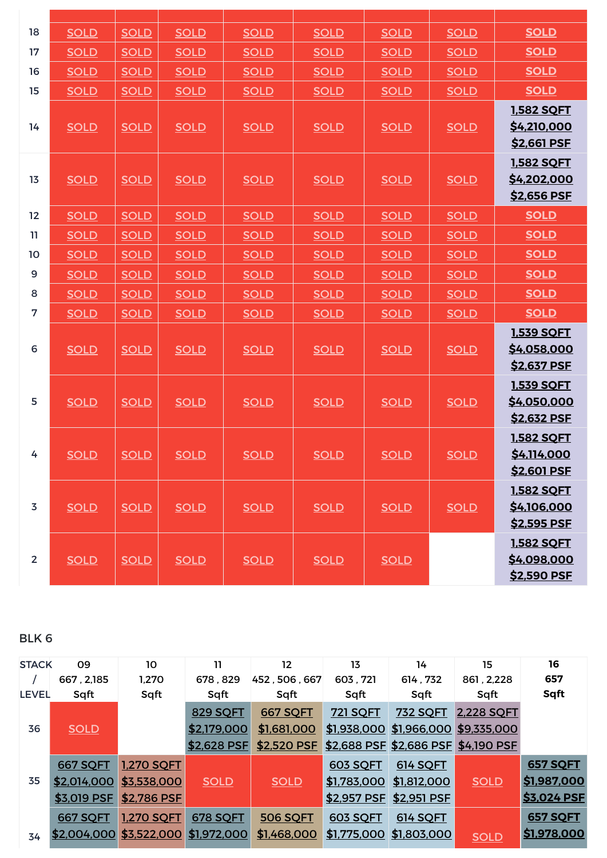| 18             | <b>SOLD</b> | <b>SOLD</b> | <b>SOLD</b> | <b>SOLD</b> | <b>SOLD</b> | <b>SOLD</b> | <b>SOLD</b> | <b>SOLD</b>                                     |
|----------------|-------------|-------------|-------------|-------------|-------------|-------------|-------------|-------------------------------------------------|
| 17             | <b>SOLD</b> | <b>SOLD</b> | <b>SOLD</b> | <b>SOLD</b> | <b>SOLD</b> | <b>SOLD</b> | <b>SOLD</b> | <b>SOLD</b>                                     |
| 16             | <b>SOLD</b> | <b>SOLD</b> | <b>SOLD</b> | <b>SOLD</b> | <b>SOLD</b> | <b>SOLD</b> | <b>SOLD</b> | <b>SOLD</b>                                     |
| 15             | <b>SOLD</b> | <b>SOLD</b> | <b>SOLD</b> | <b>SOLD</b> | <b>SOLD</b> | <b>SOLD</b> | <b>SOLD</b> | <b>SOLD</b>                                     |
| 14             | <b>SOLD</b> | <b>SOLD</b> | <b>SOLD</b> | <b>SOLD</b> | <b>SOLD</b> | <b>SOLD</b> | <b>SOLD</b> | 1,582 SQFT<br>\$4,210,000<br><u>\$2,661 PSF</u> |
| 13             | <b>SOLD</b> | <b>SOLD</b> | <b>SOLD</b> | <b>SOLD</b> | <b>SOLD</b> | <b>SOLD</b> | <b>SOLD</b> | <b>1,582 SQFT</b><br>\$4,202,000<br>\$2,656 PSF |
| 12             | <b>SOLD</b> | <b>SOLD</b> | <b>SOLD</b> | <b>SOLD</b> | <b>SOLD</b> | <b>SOLD</b> | <b>SOLD</b> | <b>SOLD</b>                                     |
| 11             | <b>SOLD</b> | <b>SOLD</b> | <b>SOLD</b> | <b>SOLD</b> | <b>SOLD</b> | <b>SOLD</b> | <b>SOLD</b> | <b>SOLD</b>                                     |
| 10             | <b>SOLD</b> | <b>SOLD</b> | <b>SOLD</b> | <b>SOLD</b> | <b>SOLD</b> | <b>SOLD</b> | <b>SOLD</b> | <b>SOLD</b>                                     |
| 9              | <b>SOLD</b> | <b>SOLD</b> | <b>SOLD</b> | <b>SOLD</b> | <b>SOLD</b> | <b>SOLD</b> | <b>SOLD</b> | <b>SOLD</b>                                     |
| 8              | <b>SOLD</b> | <b>SOLD</b> | <b>SOLD</b> | <b>SOLD</b> | <b>SOLD</b> | <b>SOLD</b> | <b>SOLD</b> | <b>SOLD</b>                                     |
| $\overline{7}$ | <b>SOLD</b> | <b>SOLD</b> | <b>SOLD</b> | <b>SOLD</b> | <b>SOLD</b> | <b>SOLD</b> | <b>SOLD</b> | <b>SOLD</b>                                     |
| 6              | <b>SOLD</b> | <b>SOLD</b> | <b>SOLD</b> | <b>SOLD</b> | <b>SOLD</b> | <b>SOLD</b> | <b>SOLD</b> | <b>1,539 SQFT</b><br>\$4,058,000<br>\$2,637 PSF |
| 5              | <b>SOLD</b> | <b>SOLD</b> | <b>SOLD</b> | <b>SOLD</b> | <b>SOLD</b> | <b>SOLD</b> | <b>SOLD</b> | 1,539 SQFT<br>\$4,050,000<br><u>\$2,632 PSF</u> |
| 4              | <b>SOLD</b> | <b>SOLD</b> | <b>SOLD</b> | <b>SOLD</b> | <b>SOLD</b> | <b>SOLD</b> | <b>SOLD</b> | <b>1.582 SQFT</b><br>\$4,114,000<br>\$2,601 PSF |
| $\overline{3}$ | <b>SOLD</b> | <b>SOLD</b> | <b>SOLD</b> | <b>SOLD</b> | <b>SOLD</b> | <b>SOLD</b> | <b>SOLD</b> | <b>1,582 SQFT</b><br>\$4,106,000<br>\$2,595 PSF |
| $\overline{2}$ | <b>SOLD</b> | <b>SOLD</b> | <b>SOLD</b> | <b>SOLD</b> | <b>SOLD</b> | <b>SOLD</b> |             | <b>1,582 SQFT</b><br>\$4,098,000<br>\$2,590 PSF |
|                |             |             |             |             |             |             |             |                                                 |

BLK 6

| <b>STACK</b> | 09<br>667, 2, 185 | 10<br>1,270                         | 11.<br>678,829  | $12 \overline{ }$<br>452, 506, 667                          | 13<br>603,721   | 14<br>614,732                       | 15<br>861, 2, 228 | 16<br>657       |
|--------------|-------------------|-------------------------------------|-----------------|-------------------------------------------------------------|-----------------|-------------------------------------|-------------------|-----------------|
| <b>LEVEL</b> | Sqft              | Sqft                                | Sqft            | Sqft                                                        | Sqft            | Sqft                                | Sqft              | Sqft            |
|              |                   |                                     | <b>829 SQFT</b> | <b>667 SQFT</b>                                             | <u>721 SQFT</u> | <u>732 SOFT</u>                     | 2.228 SQFT        |                 |
| 36           | <b>SOLD</b>       |                                     | \$2,179,000     | \$1,681,000                                                 |                 | \$1,938,000 \$1,966,000 \$9,335,000 |                   |                 |
|              |                   |                                     |                 | \$2,628 PSF \$2,520 PSF \$2,688 PSF \$2,686 PSF \$4,190 PSF |                 |                                     |                   |                 |
|              | <b>667 SQFT</b>   | <u>1,270 SQFT</u>                   |                 |                                                             | 603 SQFT        | 614 SQFT                            |                   | <b>657 SQFT</b> |
| 35           |                   | <u>\$2,014,000 \$3,538,000</u>      | <b>SOLD</b>     | <b>SOLD</b>                                                 |                 | \$1,783,000 \$1,812,000             | <b>SOLD</b>       | \$1,987,000     |
|              | \$3,019 PSF       | \$2,786 PSF                         |                 |                                                             |                 | \$2,957 PSF \$2,951 PSF             |                   | \$3,024 PSF     |
|              | 667 SQFT          | <u>1,270 SQFT</u>                   | 678 SQFT        | <b>506 SQFT</b>                                             | 603 SQFT        | 614 SQFT                            |                   | <b>657 SQFT</b> |
| 34           |                   | \$2,004,000 \$3,522,000 \$1,972,000 |                 | \$1,468,000                                                 |                 | \$1,775,000 \$1,803,000             | <b>SOLD</b>       | \$1,978,000     |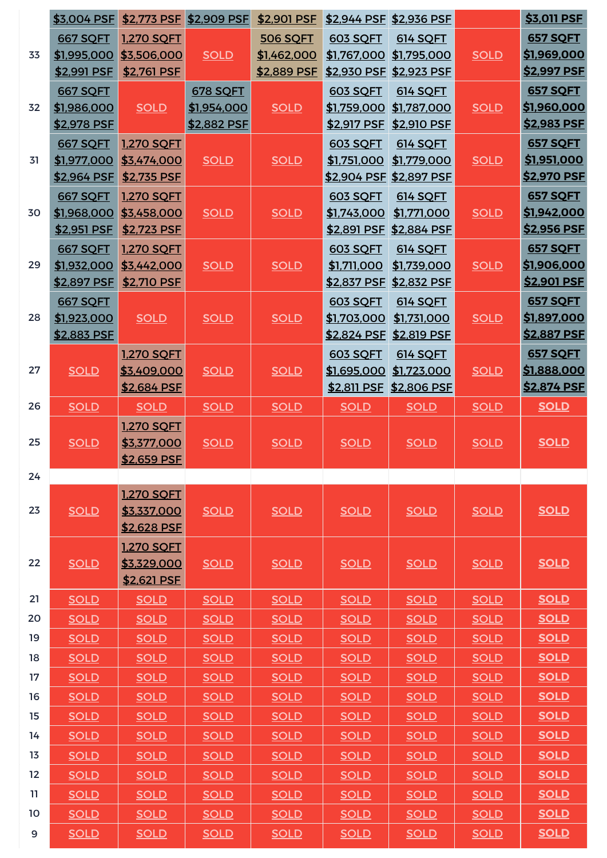|    | \$3,004 PSF        |                            | \$2,773 PSF \$2,909 PSF | \$2,901 PSF     |                 | \$2,944 PSF \$2,936 PSF        |             | \$3,011 PSF        |
|----|--------------------|----------------------------|-------------------------|-----------------|-----------------|--------------------------------|-------------|--------------------|
|    | <b>667 SQFT</b>    | <b>1,270 SQFT</b>          |                         | <b>506 SQFT</b> | <b>603 SOFT</b> | 614 SQFT                       |             | <b>657 SQFT</b>    |
| 33 | \$1,995,000        | \$3,506,000                | <b>SOLD</b>             | \$1,462,000     | \$1,767,000     | \$1,795,000                    | <b>SOLD</b> | \$1,969,000        |
|    | \$2,991 PSF        | \$2,761 PSF                |                         | \$2,889 PSF     | \$2,930 PSF     | \$2,923 PSF                    |             | \$2,997 PSF        |
|    | <b>667 SQFT</b>    |                            | <b>678 SQFT</b>         |                 | <b>603 SOFT</b> | 614 SQFT                       |             | <b>657 SQFT</b>    |
| 32 | \$1,986,000        | <b>SOLD</b>                | <u>\$1,954,000</u>      | <b>SOLD</b>     | \$1,759,000     | \$1,787,000                    | <b>SOLD</b> | \$1,960,000        |
|    | \$2,978 PSF        |                            | \$2,882 PSF             |                 | \$2,917 PSF     | \$2,910 PSF                    |             | \$2,983 PSF        |
|    | <b>667 SQFT</b>    | <b>1,270 SQFT</b>          |                         |                 | <b>603 SQFT</b> | 614 SQFT                       |             | <b>657 SQFT</b>    |
| 31 | \$1,977,000        | \$3,474,000                | <b>SOLD</b>             | <b>SOLD</b>     | \$1,751,000     | \$1,779,000                    | <b>SOLD</b> | <u>\$1,951,000</u> |
|    | \$2,964 PSF        | \$2,735 PSF                |                         |                 |                 | <u>\$2,904 PSF \$2,897 PSF</u> |             | <b>\$2,970 PSF</b> |
|    | <b>667 SQFT</b>    | <b>1,270 SQFT</b>          |                         |                 | <b>603 SOFT</b> | 614 SQFT                       |             | <b>657 SQFT</b>    |
| 30 | <u>\$1,968,000</u> | \$3,458,000                | <b>SOLD</b>             | <b>SOLD</b>     | \$1,743,000     | \$1,771,000                    | <b>SOLD</b> | \$1,942,000        |
|    | \$2,951 PSF        | \$2,723 PSF                |                         |                 | \$2,891 PSF     | \$2,884 PSF                    |             | \$2,956 PSF        |
|    | <b>667 SQFT</b>    | <b>1,270 SQFT</b>          |                         |                 | <b>603 SQFT</b> | 614 SQFT                       |             | <b>657 SQFT</b>    |
| 29 | \$1,932,000        | \$3,442,000                | <b>SOLD</b>             | <b>SOLD</b>     | \$1,711,000     | \$1,739,000                    | <b>SOLD</b> | \$1,906,000        |
|    | \$2,897 PSF        | \$2,710 PSF                |                         |                 | \$2,837 PSF     | \$2,832 PSF                    |             | <u>\$2,901 PSF</u> |
|    | 667 SQFT           |                            |                         |                 | 603 SQFT        | 614 SQFT                       |             | <b>657 SQFT</b>    |
| 28 | \$1,923,000        | <b>SOLD</b>                | <b>SOLD</b>             | <b>SOLD</b>     | \$1,703,000     | \$1,731,000                    | <b>SOLD</b> | \$1,897,000        |
|    | \$2,883 PSF        |                            |                         |                 | \$2,824 PSF     | \$2,819 PSF                    |             | \$2,887 PSF        |
|    |                    | <b>1.270 SQFT</b>          |                         |                 | 603 SQFT        | 614 SQFT                       |             | <b>657 SQFT</b>    |
| 27 | <b>SOLD</b>        | \$3,409,000                | <b>SOLD</b>             | <b>SOLD</b>     | \$1,695,000     | \$1,723,000                    | <b>SOLD</b> | <u>\$1,888,000</u> |
|    |                    | \$2,684 PSF                |                         |                 | \$2,811 PSF     | \$2,806 PSF                    |             | \$2,874 PSF        |
| 26 | <b>SOLD</b>        | <b>SOLD</b>                | <b>SOLD</b>             | <b>SOLD</b>     | <b>SOLD</b>     | <b>SOLD</b>                    | <b>SOLD</b> | <b>SOLD</b>        |
|    |                    | <b>1,270 SQFT</b>          |                         |                 |                 |                                |             |                    |
| 25 | <b>SOLD</b>        | \$3,377,000                | <b>SOLD</b>             | <b>SOLD</b>     | <b>SOLD</b>     | <b>SOLD</b>                    | <b>SOLD</b> | <b>SOLD</b>        |
|    |                    | \$2,659 PSF                |                         |                 |                 |                                |             |                    |
| 24 |                    |                            |                         |                 |                 |                                |             |                    |
|    |                    | 1,270 SQFT                 |                         |                 |                 |                                |             |                    |
| 23 | <b>SOLD</b>        | \$3,337,000                | <b>SOLD</b>             | <b>SOLD</b>     | <b>SOLD</b>     | <b>SOLD</b>                    | <b>SOLD</b> | <b>SOLD</b>        |
|    |                    | \$2,628 PSF                |                         |                 |                 |                                |             |                    |
| 22 |                    | <b>1.270 SOFT</b>          |                         |                 |                 |                                |             |                    |
|    | <b>SOLD</b>        | \$3,329,000<br>\$2,621 PSF | <b>SOLD</b>             | <b>SOLD</b>     | <b>SOLD</b>     | <b>SOLD</b>                    | <b>SOLD</b> | <b>SOLD</b>        |
| 21 | <b>SOLD</b>        | <b>SOLD</b>                | <b>SOLD</b>             | <b>SOLD</b>     | <b>SOLD</b>     | <b>SOLD</b>                    | <b>SOLD</b> | <b>SOLD</b>        |
| 20 | <b>SOLD</b>        | <b>SOLD</b>                | <b>SOLD</b>             | <b>SOLD</b>     | <b>SOLD</b>     | <b>SOLD</b>                    | <b>SOLD</b> | <b>SOLD</b>        |
| 19 | <b>SOLD</b>        | <b>SOLD</b>                | <b>SOLD</b>             | <b>SOLD</b>     | <b>SOLD</b>     | <b>SOLD</b>                    | <b>SOLD</b> | <b>SOLD</b>        |
| 18 | <b>SOLD</b>        |                            | <b>SOLD</b>             |                 | <b>SOLD</b>     |                                | <b>SOLD</b> | <b>SOLD</b>        |
| 17 |                    | <b>SOLD</b>                |                         | <b>SOLD</b>     |                 | <b>SOLD</b>                    |             | <b>SOLD</b>        |
|    | <b>SOLD</b>        | <b>SOLD</b>                | <b>SOLD</b>             | <b>SOLD</b>     | <b>SOLD</b>     | <b>SOLD</b>                    | <b>SOLD</b> |                    |
| 16 | <b>SOLD</b>        | <b>SOLD</b>                | <b>SOLD</b>             | <b>SOLD</b>     | <b>SOLD</b>     | <b>SOLD</b>                    | <b>SOLD</b> | <b>SOLD</b>        |
| 15 | <b>SOLD</b>        | <b>SOLD</b>                | <b>SOLD</b>             | <b>SOLD</b>     | <b>SOLD</b>     | <b>SOLD</b>                    | <b>SOLD</b> | <b>SOLD</b>        |
| 14 | <b>SOLD</b>        | <b>SOLD</b>                | <b>SOLD</b>             | <b>SOLD</b>     | <b>SOLD</b>     | <b>SOLD</b>                    | <b>SOLD</b> | <b>SOLD</b>        |
| 13 | <b>SOLD</b>        | <b>SOLD</b>                | <b>SOLD</b>             | <b>SOLD</b>     | <b>SOLD</b>     | <b>SOLD</b>                    | <b>SOLD</b> | <b>SOLD</b>        |
| 12 | <b>SOLD</b>        | <b>SOLD</b>                | <b>SOLD</b>             | <b>SOLD</b>     | <b>SOLD</b>     | <b>SOLD</b>                    | <b>SOLD</b> | <b>SOLD</b>        |
| 11 | <b>SOLD</b>        | <b>SOLD</b>                | <b>SOLD</b>             | <b>SOLD</b>     | <b>SOLD</b>     | <b>SOLD</b>                    | <b>SOLD</b> | <b>SOLD</b>        |
| 10 | <b>SOLD</b>        | <b>SOLD</b>                | <b>SOLD</b>             | <b>SOLD</b>     | <b>SOLD</b>     | <b>SOLD</b>                    | <b>SOLD</b> | <b>SOLD</b>        |
| 9  | <b>SOLD</b>        | <b>SOLD</b>                | <b>SOLD</b>             | <b>SOLD</b>     | <b>SOLD</b>     | <b>SOLD</b>                    | <b>SOLD</b> | <b>SOLD</b>        |
|    |                    |                            |                         |                 |                 |                                |             |                    |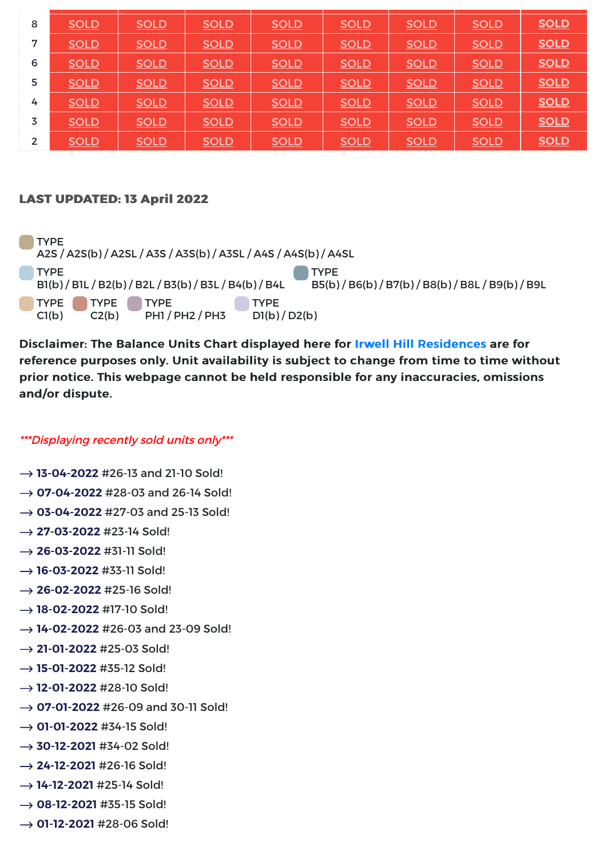| 8              | <b>SOLD</b> | <b>SOLD</b> | <b>SOLD</b> | <b>SOLD</b> | <b>SOLD</b> | <b>SOLD</b> | <b>SOLD</b> | <b>SOLD</b> |
|----------------|-------------|-------------|-------------|-------------|-------------|-------------|-------------|-------------|
| 7              | <b>SOLD</b> | <b>SOLD</b> | <b>SOLD</b> | <b>SOLD</b> | <b>SOLD</b> | <b>SOLD</b> | <b>SOLD</b> | <b>SOLD</b> |
| 6              | <b>SOLD</b> | <b>SOLD</b> | <b>SOLD</b> | <b>SOLD</b> | <b>SOLD</b> | <b>SOLD</b> | <b>SOLD</b> | <b>SOLD</b> |
| 5              | <b>SOLD</b> | <b>SOLD</b> | <b>SOLD</b> | <b>SOLD</b> | <b>SOLD</b> | <b>SOLD</b> | <b>SOLD</b> | <b>SOLD</b> |
| 4              | <b>SOLD</b> | <b>SOLD</b> | <b>SOLD</b> | <b>SOLD</b> | <b>SOLD</b> | <b>SOLD</b> | <b>SOLD</b> | <b>SOLD</b> |
| 3              | <b>SOLD</b> | <b>SOLD</b> | <b>SOLD</b> | <b>SOLD</b> | <b>SOLD</b> | <b>SOLD</b> | <b>SOLD</b> | <b>SOLD</b> |
| $\overline{2}$ | <b>SOLD</b> | <b>SOLD</b> | <b>SOLD</b> | <b>SOLD</b> | <b>SOLD</b> | <b>SOLD</b> | <b>SOLD</b> | <b>SOLD</b> |

## **LAST UPDATED: 13 April 2022**

**TYPE** A2S / A2S(b) / A2SL / A3S / A3S(b) / A3SL / A4S / A4S(b) / A4SL **TYPE** B1(b) / B1L / B2(b) / B2L / B3(b) / B3L / B4(b) / B4L TYPE B5(b) / B6(b) / B7(b) / B8(b) / B8L / B9(b) / B9L TYPE TYPE TYPE  $C1(b)$  $C2(b)$ PH1 / PH2 / PH3 **TYPE** D1(b) / D2(b)

Disclaimer: The Balance Units Chart displayed here for Irwell Hill Residences are for reference purposes only. Unit availability is subject to change from time to time without prior notice. This webpage cannot be held responsible for any inaccuracies, omissions and/or dispute.

## \*\*\*Displaying recently sold units only\*\*\*

- → 13-04-2022 #26-13 and 21-10 Sold! → **07-04-2022** #28-03 and 26-14 Sold!  $\rightarrow$  03-04-2022 #27-03 and 25-13 Sold!  $\rightarrow$  **27-03-2022** #23-14 Sold!  $\rightarrow$  **26-03-2022** #31-11 Sold! → 16-03-2022 #33-11 Sold!  $\rightarrow$  **26-02-2022** #25-16 Sold! → 18-02-2022 #17-10 Sold! → 14-02-2022 #26-03 and 23-09 Sold!  $\rightarrow$  **21-01-2022** #25-03 Sold! **15-01-2022** #35-12 Sold! → 12-01-2022 #28-10 Sold! → **07-01-2022** #26-09 and 30-11 Sold! → 01-01-2022 #34-15 Sold! → 30-12-2021 #34-02 Sold!  $\rightarrow$  **24-12-2021** #26-16 Sold! **14-12-2021** #25-14 Sold! → 08-12-2021 #35-15 Sold!
- **01-12-2021** #28-06 Sold!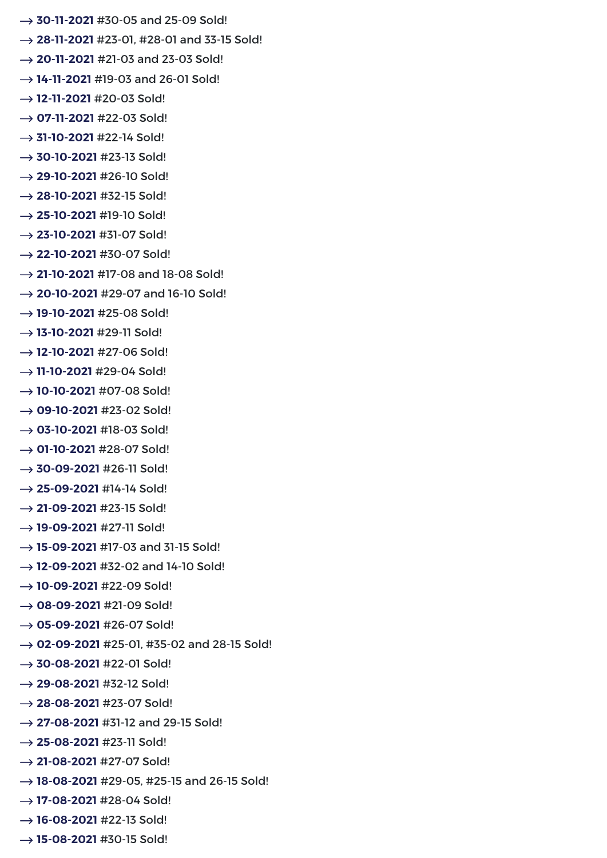- → 30-11-2021 #30-05 and 25-09 Sold!
- → 28-11-2021 #23-01, #28-01 and 33-15 Sold!
- → 20-11-2021 #21-03 and 23-03 Sold!
- → 14-11-2021 #19-03 and 26-01 Sold!
- → 12-11-2021 #20-03 Sold!
- **07-11-2021** #22-03 Sold!
- → **31-10-2021** #22-14 Sold!
- → 30-10-2021 #23-13 Sold!
- **29-10-2021** #26-10 Sold!
- $\rightarrow$  **28-10-2021** #32-15 Sold!
- $\rightarrow$  **25-10-2021** #19-10 Sold!
- → 23-10-2021 #31-07 Sold!
- $\rightarrow$  **22-10-2021** #30-07 Sold!
- → 21-10-2021 #17-08 and 18-08 Sold!
- → 20-10-2021 #29-07 and 16-10 Sold!
- → 19-10-2021 #25-08 Sold!
- → 13-10-2021 #29-11 Sold!
- → 12-10-2021 #27-06 Sold!
- → 11-10-2021 #29-04 Sold!
- → 10-10-2021 #07-08 Sold!
- **09-10-2021** #23-02 Sold!
- → 03-10-2021 #18-03 Sold!
- **01-10-2021** #28-07 Sold!
- → 30-09-2021 #26-11 Sold!
- $\rightarrow$  **25-09-2021** #14-14 Sold!
- $\rightarrow$  **21-09-2021** #23-15 Sold!
- → 19-09-2021 #27-11 Sold!
- → 15-09-2021 #17-03 and 31-15 Sold!
- → 12-09-2021 #32-02 and 14-10 Sold!
- **10-09-2021** #22-09 Sold!
- → 08-09-2021 #21-09 Sold!
- → 05-09-2021 #26-07 Sold!
- → **02-09-2021** #25-01, #35-02 and 28-15 Sold!
- → 30-08-2021 #22-01 Sold!
- $\rightarrow$  **29-08-2021** #32-12 Sold!
- $\rightarrow$  **28-08-2021** #23-07 Sold!
- → 27-08-2021 #31-12 and 29-15 Sold!
- → 25-08-2021 #23-11 Sold!
- $\rightarrow$  **21-08-2021** #27-07 Sold!
- → 18-08-2021 #29-05, #25-15 and 26-15 Sold!
- **17-08-2021** #28-04 Sold!
- → 16-08-2021 #22-13 Sold!
- → 15-08-2021 #30-15 Sold!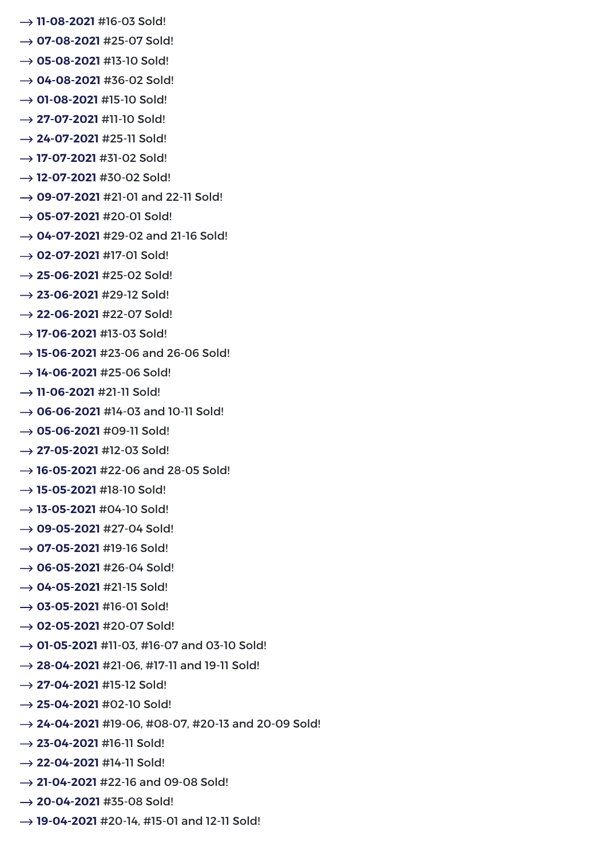- → 11-08-2021 #16-03 Sold!
- → **07-08-2021** #25-07 Sold!
- → 05-08-2021 #13-10 Sold!
- **→ 04-08-2021** #36-02 Sold!
- → **01-08-2021** #15-10 Sold!
- $\rightarrow$  **27-07-2021** #11-10 Sold!
- → 24-07-2021 #25-11 Sold!
- → 17-07-2021 #31-02 Sold!
- → 12-07-2021 #30-02 Sold!
- → 09-07-2021 #21-01 and 22-11 Sold!
- **05-07-2021** #20-01 Sold!
- → 04-07-2021 #29-02 and 21-16 Sold!
- → 02-07-2021 #17-01 Sold!
- → 25-06-2021 #25-02 Sold!
- $\rightarrow$  **23-06-2021** #29-12 Sold!
- $\rightarrow$  **22-06-2021** #22-07 Sold!
- → 17-06-2021 #13-03 Sold!
- → 15-06-2021 #23-06 and 26-06 Sold!
- → 14-06-2021 #25-06 Sold!
- **→ 11-06-2021** #21-11 Sold!
- → 06-06-2021 #14-03 and 10-11 Sold!
- **→ 05-06-2021** #09-11 Sold!
- **27-05-2021** #12-03 Sold!
- → 16-05-2021 #22-06 and 28-05 Sold!
- → 15-05-2021 #18-10 Sold!
- → 13-05-2021 #04-10 Sold!
- **09-05-2021** #27-04 Sold!
- **07-05-2021** #19-16 Sold!
- → 06-05-2021 #26-04 Sold!
- $\rightarrow$  04-05-2021 #21-15 Sold!
- **→ 03-05-2021** #16-01 Sold!
- → 02-05-2021 #20-07 Sold!
- → **01-05-2021** #11-03, #16-07 and 03-10 Sold!
- → 28-04-2021 #21-06, #17-11 and 19-11 Sold!
- $\rightarrow$  **27-04-2021** #15-12 Sold!
- $\rightarrow$  **25-04-2021** #02-10 Sold!
- **24-04-2021** #19-06, #08-07, #20-13 and 20-09 Sold!
- $\rightarrow$  **23-04-2021** #16-11 Sold!
- → 22-04-2021 #14-11 Sold!
- → 21-04-2021 #22-16 and 09-08 Sold!
- $\rightarrow$  **20-04-2021** #35-08 Sold!
- → 19-04-2021 #20-14, #15-01 and 12-11 Sold!